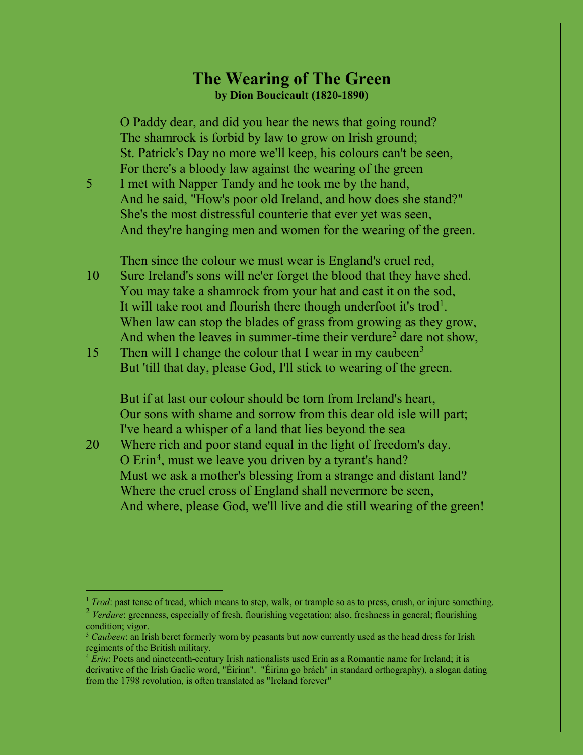## **The Wearing of The Green by Dion Boucicault (1820-1890)**

O Paddy dear, and did you hear the news that going round? The shamrock is forbid by law to grow on Irish ground; St. Patrick's Day no more we'll keep, his colours can't be seen, For there's a bloody law against the wearing of the green

5 I met with Napper Tandy and he took me by the hand, And he said, "How's poor old Ireland, and how does she stand?" She's the most distressful counterie that ever yet was seen, And they're hanging men and women for the wearing of the green.

Then since the colour we must wear is England's cruel red,

- 10 Sure Ireland's sons will ne'er forget the blood that they have shed. You may take a shamrock from your hat and cast it on the sod, It will take root and flourish there though underfoot it's trod<sup>[1](#page-0-0)</sup>. When law can stop the blades of grass from growing as they grow, And when the leaves in summer-time their verdure<sup>[2](#page-0-1)</sup> dare not show,
- 15 Then will I change the colour that I wear in my caubeen<sup>[3](#page-0-2)</sup> But 'till that day, please God, I'll stick to wearing of the green.

But if at last our colour should be torn from Ireland's heart, Our sons with shame and sorrow from this dear old isle will part; I've heard a whisper of a land that lies beyond the sea

20 Where rich and poor stand equal in the light of freedom's day. O Erin<sup>[4](#page-0-3)</sup>, must we leave you driven by a tyrant's hand? Must we ask a mother's blessing from a strange and distant land? Where the cruel cross of England shall nevermore be seen, And where, please God, we'll live and die still wearing of the green!

<span id="page-0-0"></span><sup>&</sup>lt;sup>1</sup> *Trod*: past tense of tread, which means to step, walk, or trample so as to press, crush, or injure something.

<span id="page-0-1"></span><sup>&</sup>lt;sup>2</sup> *Verdure*: greenness, especially of fresh, flourishing vegetation; also, freshness in general; flourishing condition; vigor.

<span id="page-0-2"></span><sup>3</sup> *Caubeen*: an Irish beret formerly worn by peasants but now currently used as the head dress for Irish regiments of the British military.

<span id="page-0-3"></span><sup>4</sup> *Erin*: Poets and nineteenth-century Irish nationalists used Erin as a Romantic name for Ireland; it is derivative of the Irish Gaelic word, "Éirinn". "Éirinn go brách" in standard orthography), a slogan dating from the 1798 revolution, is often translated as "Ireland forever"